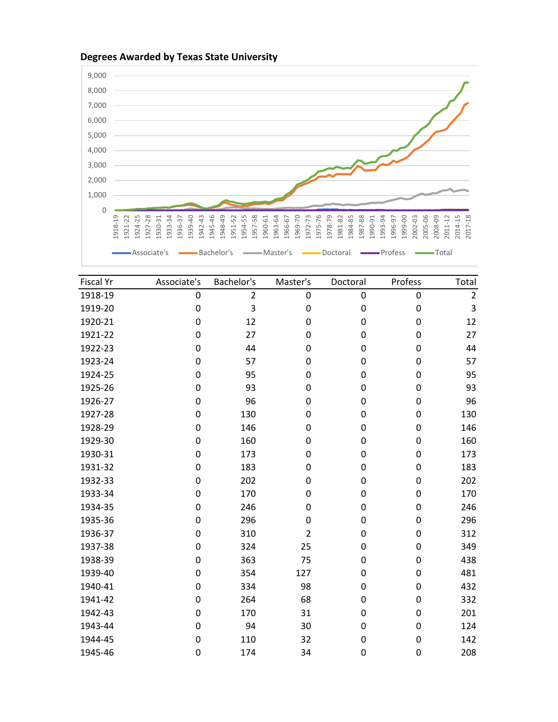

| <b>Fiscal Yr</b> | Associate's      | Bachelor's     | Master's       | Doctoral  | Profess | Total          |
|------------------|------------------|----------------|----------------|-----------|---------|----------------|
| 1918-19          | $\boldsymbol{0}$ | $\overline{2}$ | $\pmb{0}$      | $\pmb{0}$ | 0       | $\overline{2}$ |
| 1919-20          | $\pmb{0}$        | 3              | 0              | 0         | 0       | 3              |
| 1920-21          | $\boldsymbol{0}$ | 12             | 0              | 0         | 0       | 12             |
| 1921-22          | 0                | 27             | 0              | 0         | 0       | 27             |
| 1922-23          | 0                | 44             | 0              | 0         | 0       | 44             |
| 1923-24          | 0                | 57             | 0              | 0         | 0       | 57             |
| 1924-25          | 0                | 95             | 0              | 0         | 0       | 95             |
| 1925-26          | 0                | 93             | 0              | 0         | 0       | 93             |
| 1926-27          | 0                | 96             | 0              | 0         | 0       | 96             |
| 1927-28          | 0                | 130            | 0              | 0         | 0       | 130            |
| 1928-29          | 0                | 146            | 0              | 0         | 0       | 146            |
| 1929-30          | 0                | 160            | 0              | 0         | 0       | 160            |
| 1930-31          | 0                | 173            | 0              | 0         | 0       | 173            |
| 1931-32          | 0                | 183            | 0              | 0         | 0       | 183            |
| 1932-33          | $\pmb{0}$        | 202            | 0              | 0         | 0       | 202            |
| 1933-34          | 0                | 170            | 0              | 0         | 0       | 170            |
| 1934-35          | 0                | 246            | 0              | 0         | 0       | 246            |
| 1935-36          | 0                | 296            | 0              | 0         | 0       | 296            |
| 1936-37          | 0                | 310            | $\overline{2}$ | 0         | 0       | 312            |
| 1937-38          | 0                | 324            | 25             | 0         | 0       | 349            |
| 1938-39          | 0                | 363            | 75             | 0         | 0       | 438            |
| 1939-40          | 0                | 354            | 127            | 0         | 0       | 481            |
| 1940-41          | 0                | 334            | 98             | 0         | 0       | 432            |
| 1941-42          | $\pmb{0}$        | 264            | 68             | 0         | 0       | 332            |
| 1942-43          | $\pmb{0}$        | 170            | 31             | 0         | 0       | 201            |
| 1943-44          | $\pmb{0}$        | 94             | 30             | 0         | 0       | 124            |
| 1944-45          | 0                | 110            | 32             | 0         | 0       | 142            |
| 1945-46          | 0                | 174            | 34             | 0         | 0       | 208            |

## **Degrees Awarded by Texas State University**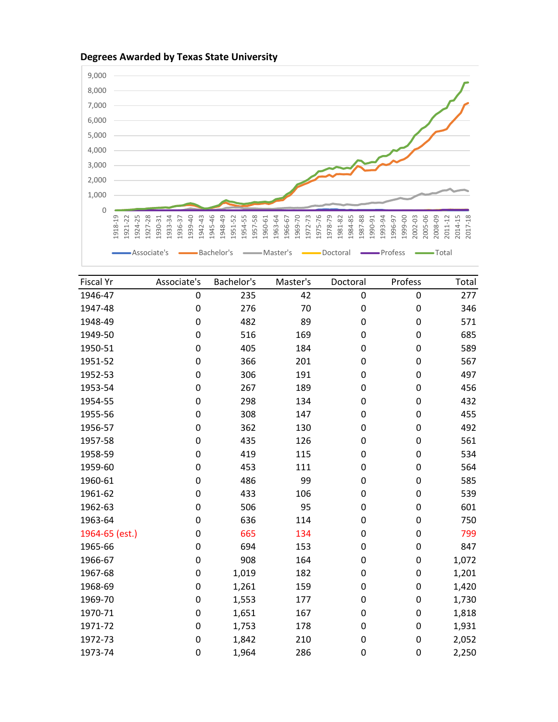

## Associate's **Associate's Associate's Associate's** Doctoral **Associate's** Total  $\overline{\phantom{a}}$ Fiscal Yr **Associate's Bachelor's Master's Doctoral** Profess Total 1946-47 0 235 42 0 0 277 1947-48 0 276 70 0 0 346 1948-49 0 482 89 0 0 571 1949-50 0 516 169 0 0 685 1950-51 0 405 184 0 0 589

| 1950-51        | 0 | 405   | 184 | 0 | 0           | 589   |
|----------------|---|-------|-----|---|-------------|-------|
| 1951-52        | 0 | 366   | 201 | 0 | $\mathbf 0$ | 567   |
| 1952-53        | 0 | 306   | 191 | 0 | 0           | 497   |
| 1953-54        | 0 | 267   | 189 | 0 | 0           | 456   |
| 1954-55        | 0 | 298   | 134 | 0 | 0           | 432   |
| 1955-56        | 0 | 308   | 147 | 0 | $\pmb{0}$   | 455   |
| 1956-57        | 0 | 362   | 130 | 0 | 0           | 492   |
| 1957-58        | 0 | 435   | 126 | 0 | 0           | 561   |
| 1958-59        | 0 | 419   | 115 | 0 | 0           | 534   |
| 1959-60        | 0 | 453   | 111 | 0 | 0           | 564   |
| 1960-61        | 0 | 486   | 99  | 0 | 0           | 585   |
| 1961-62        | 0 | 433   | 106 | 0 | 0           | 539   |
| 1962-63        | 0 | 506   | 95  | 0 | 0           | 601   |
| 1963-64        | 0 | 636   | 114 | 0 | 0           | 750   |
| 1964-65 (est.) | 0 | 665   | 134 | 0 | 0           | 799   |
| 1965-66        | 0 | 694   | 153 | 0 | 0           | 847   |
| 1966-67        | 0 | 908   | 164 | 0 | 0           | 1,072 |
| 1967-68        | 0 | 1,019 | 182 | 0 | 0           | 1,201 |
| 1968-69        | 0 | 1,261 | 159 | 0 | 0           | 1,420 |
| 1969-70        | 0 | 1,553 | 177 | 0 | 0           | 1,730 |
| 1970-71        | 0 | 1,651 | 167 | 0 | 0           | 1,818 |
| 1971-72        | 0 | 1,753 | 178 | 0 | 0           | 1,931 |
| 1972-73        | 0 | 1,842 | 210 | 0 | 0           | 2,052 |

1973-74 0 1,964 286 0 0 2,250

## **Degrees Awarded by Texas State University**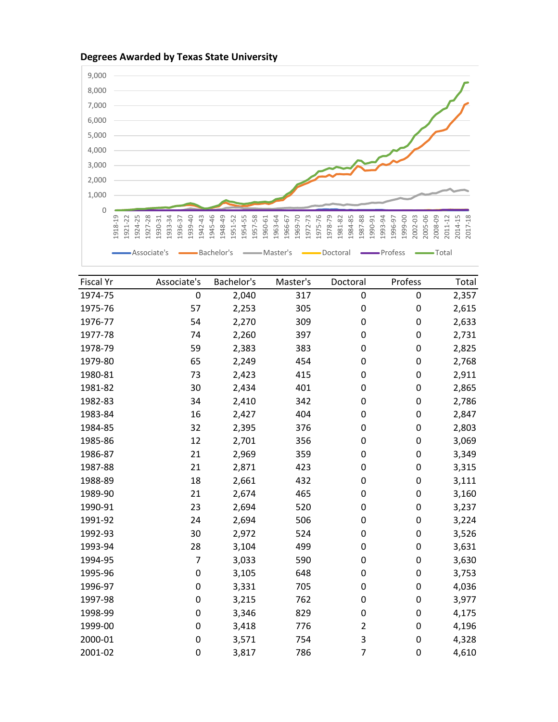



| <b>Fiscal Yr</b> | Associate's | Bachelor's | Master's | Doctoral       | Profess     | Total |
|------------------|-------------|------------|----------|----------------|-------------|-------|
| 1974-75          | 0           | 2,040      | 317      | 0              | 0           | 2,357 |
| 1975-76          | 57          | 2,253      | 305      | 0              | 0           | 2,615 |
| 1976-77          | 54          | 2,270      | 309      | 0              | 0           | 2,633 |
| 1977-78          | 74          | 2,260      | 397      | 0              | 0           | 2,731 |
| 1978-79          | 59          | 2,383      | 383      | 0              | 0           | 2,825 |
| 1979-80          | 65          | 2,249      | 454      | 0              | 0           | 2,768 |
| 1980-81          | 73          | 2,423      | 415      | 0              | 0           | 2,911 |
| 1981-82          | 30          | 2,434      | 401      | 0              | 0           | 2,865 |
| 1982-83          | 34          | 2,410      | 342      | 0              | 0           | 2,786 |
| 1983-84          | 16          | 2,427      | 404      | 0              | 0           | 2,847 |
| 1984-85          | 32          | 2,395      | 376      | 0              | 0           | 2,803 |
| 1985-86          | 12          | 2,701      | 356      | 0              | 0           | 3,069 |
| 1986-87          | 21          | 2,969      | 359      | 0              | 0           | 3,349 |
| 1987-88          | 21          | 2,871      | 423      | 0              | 0           | 3,315 |
| 1988-89          | 18          | 2,661      | 432      | 0              | 0           | 3,111 |
| 1989-90          | 21          | 2,674      | 465      | 0              | 0           | 3,160 |
| 1990-91          | 23          | 2,694      | 520      | 0              | 0           | 3,237 |
| 1991-92          | 24          | 2,694      | 506      | 0              | 0           | 3,224 |
| 1992-93          | 30          | 2,972      | 524      | 0              | 0           | 3,526 |
| 1993-94          | 28          | 3,104      | 499      | 0              | 0           | 3,631 |
| 1994-95          | 7           | 3,033      | 590      | 0              | 0           | 3,630 |
| 1995-96          | 0           | 3,105      | 648      | 0              | 0           | 3,753 |
| 1996-97          | 0           | 3,331      | 705      | 0              | 0           | 4,036 |
| 1997-98          | 0           | 3,215      | 762      | 0              | 0           | 3,977 |
| 1998-99          | 0           | 3,346      | 829      | 0              | 0           | 4,175 |
| 1999-00          | 0           | 3,418      | 776      | $\overline{2}$ | 0           | 4,196 |
| 2000-01          | 0           | 3,571      | 754      | 3              | 0           | 4,328 |
| 2001-02          | 0           | 3,817      | 786      | $\overline{7}$ | $\mathbf 0$ | 4,610 |